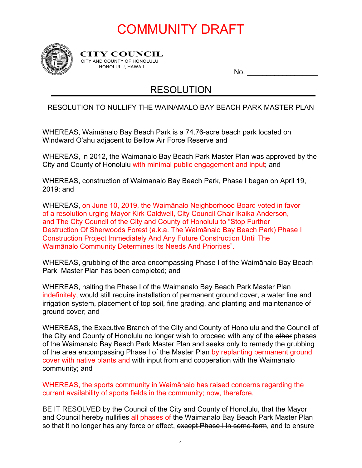# COMMUNITY DRAFT



**CITY COUNCIL** CITY AND COUNTY OF HONOLULU HONOLULU, HAWAII

No.  $\qquad \qquad \qquad$ 

#### RESOLUTION

#### RESOLUTION TO NULLIFY THE WAINAMALO BAY BEACH PARK MASTER PLAN

WHEREAS, Waimānalo Bay Beach Park is a 74.76-acre beach park located on Windward O'ahu adjacent to Bellow Air Force Reserve and

WHEREAS, in 2012, the Waimanalo Bay Beach Park Master Plan was approved by the City and County of Honolulu with minimal public engagement and input; and

WHEREAS, construction of Waimanalo Bay Beach Park, Phase I began on April 19, 2019; and

WHEREAS, on June 10, 2019, the Waimānalo Neighborhood Board voted in favor of a resolution urging Mayor Kirk Caldwell, City Council Chair Ikaika Anderson, and The City Council of the City and County of Honolulu to "Stop Further Destruction Of Sherwoods Forest (a.k.a. The Waimānalo Bay Beach Park) Phase I Construction Project Immediately And Any Future Construction Until The Waimānalo Community Determines Its Needs And Priorities".

WHEREAS, grubbing of the area encompassing Phase I of the Waimānalo Bay Beach Park Master Plan has been completed; and

WHEREAS, halting the Phase I of the Waimanalo Bay Beach Park Master Plan indefinitely, would still require installation of permanent ground cover, a water line and irrigation system, placement of top soil, fine grading, and planting and maintenance of ground cover; and

WHEREAS, the Executive Branch of the City and County of Honolulu and the Council of the City and County of Honolulu no longer wish to proceed with any of the other phases of the Waimanalo Bay Beach Park Master Plan and seeks only to remedy the grubbing of the area encompassing Phase I of the Master Plan by replanting permanent ground cover with native plants and with input from and cooperation with the Waimanalo community; and

WHEREAS, the sports community in Waimānalo has raised concerns regarding the current availability of sports fields in the community; now, therefore,

BE IT RESOLVED by the Council of the City and County of Honolulu, that the Mayor and Council hereby nullifies all phases of the Waimanalo Bay Beach Park Master Plan so that it no longer has any force or effect, except Phase I in some form, and to ensure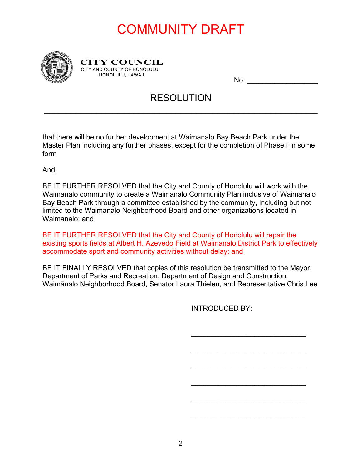# COMMUNITY DRAFT



**CITY COUNCIL** CITY AND COUNTY OF HONOLULU HONOLULU, HAWAII

 $No.$ 

#### RESOLUTION

\_\_\_\_\_\_\_\_\_\_\_\_\_\_\_\_\_\_\_\_\_\_\_\_\_\_\_\_\_\_\_\_\_\_\_\_\_\_\_\_\_\_\_\_\_\_\_\_\_\_\_\_

that there will be no further development at Waimanalo Bay Beach Park under the Master Plan including any further phases. except for the completion of Phase I in some form

And;

BE IT FURTHER RESOLVED that the City and County of Honolulu will work with the Waimanalo community to create a Waimanalo Community Plan inclusive of Waimanalo Bay Beach Park through a committee established by the community, including but not limited to the Waimanalo Neighborhood Board and other organizations located in Waimanalo; and

BE IT FURTHER RESOLVED that the City and County of Honolulu will repair the existing sports fields at Albert H. Azevedo Field at Waimānalo District Park to effectively accommodate sport and community activities without delay; and

BE IT FINALLY RESOLVED that copies of this resolution be transmitted to the Mayor, Department of Parks and Recreation, Department of Design and Construction, Waimānalo Neighborhood Board, Senator Laura Thielen, and Representative Chris Lee

INTRODUCED BY:

 $\overline{\phantom{a}}$  , which is a set of the set of the set of the set of the set of the set of the set of the set of the set of the set of the set of the set of the set of the set of the set of the set of the set of the set of th

\_\_\_\_\_\_\_\_\_\_\_\_\_\_\_\_\_\_\_\_\_\_\_\_\_\_\_\_\_

\_\_\_\_\_\_\_\_\_\_\_\_\_\_\_\_\_\_\_\_\_\_\_\_\_\_\_\_\_

 $\overline{\phantom{a}}$  , which is a set of the set of the set of the set of the set of the set of the set of the set of the set of the set of the set of the set of the set of the set of the set of the set of the set of the set of th

\_\_\_\_\_\_\_\_\_\_\_\_\_\_\_\_\_\_\_\_\_\_\_\_\_\_\_\_\_

 $\overline{\phantom{a}}$  , which is a set of the set of the set of the set of the set of the set of the set of the set of the set of the set of the set of the set of the set of the set of the set of the set of the set of the set of th